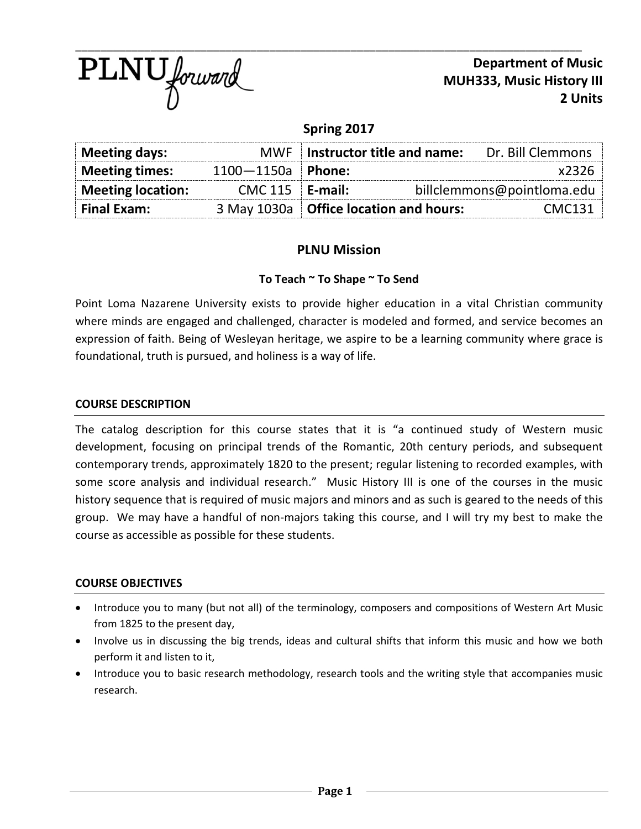

**Department of Music MUH333, Music History III 2 Units**

# **Spring 2017**

| Meeting days:            |                       | MWF   Instructor title and name:         | Dr. Bill Clemmons          |
|--------------------------|-----------------------|------------------------------------------|----------------------------|
| Meeting times:           | $1100 - 1150a$ Phone: |                                          | $x$ 2326                   |
| <b>Meeting location:</b> | $CMC 115$ E-mail:     |                                          | billclemmons@pointloma.edu |
| <b>Final Exam:</b>       |                       | 3 May 1030a   Office location and hours: | CMC131                     |

## **PLNU Mission**

### **To Teach ~ To Shape ~ To Send**

Point Loma Nazarene University exists to provide higher education in a vital Christian community where minds are engaged and challenged, character is modeled and formed, and service becomes an expression of faith. Being of Wesleyan heritage, we aspire to be a learning community where grace is foundational, truth is pursued, and holiness is a way of life.

#### **COURSE DESCRIPTION**

The catalog description for this course states that it is "a continued study of Western music development, focusing on principal trends of the Romantic, 20th century periods, and subsequent contemporary trends, approximately 1820 to the present; regular listening to recorded examples, with some score analysis and individual research." Music History III is one of the courses in the music history sequence that is required of music majors and minors and as such is geared to the needs of this group. We may have a handful of non-majors taking this course, and I will try my best to make the course as accessible as possible for these students.

#### **COURSE OBJECTIVES**

- Introduce you to many (but not all) of the terminology, composers and compositions of Western Art Music from 1825 to the present day,
- Involve us in discussing the big trends, ideas and cultural shifts that inform this music and how we both perform it and listen to it,
- Introduce you to basic research methodology, research tools and the writing style that accompanies music research.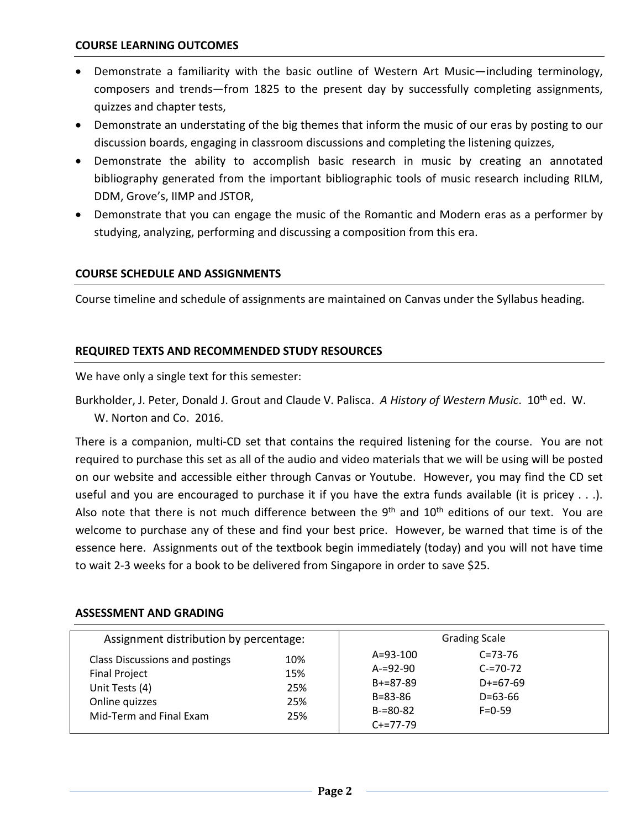- Demonstrate a familiarity with the basic outline of Western Art Music—including terminology, composers and trends—from 1825 to the present day by successfully completing assignments, quizzes and chapter tests,
- Demonstrate an understating of the big themes that inform the music of our eras by posting to our discussion boards, engaging in classroom discussions and completing the listening quizzes,
- Demonstrate the ability to accomplish basic research in music by creating an annotated bibliography generated from the important bibliographic tools of music research including RILM, DDM, Grove's, IIMP and JSTOR,
- Demonstrate that you can engage the music of the Romantic and Modern eras as a performer by studying, analyzing, performing and discussing a composition from this era.

### **COURSE SCHEDULE AND ASSIGNMENTS**

Course timeline and schedule of assignments are maintained on Canvas under the Syllabus heading.

### **REQUIRED TEXTS AND RECOMMENDED STUDY RESOURCES**

We have only a single text for this semester:

Burkholder, J. Peter, Donald J. Grout and Claude V. Palisca. *A History of Western Music*. 10th ed. W. W. Norton and Co. 2016.

There is a companion, multi-CD set that contains the required listening for the course. You are not required to purchase this set as all of the audio and video materials that we will be using will be posted on our website and accessible either through Canvas or Youtube. However, you may find the CD set useful and you are encouraged to purchase it if you have the extra funds available (it is pricey . . .). Also note that there is not much difference between the  $9<sup>th</sup>$  and  $10<sup>th</sup>$  editions of our text. You are welcome to purchase any of these and find your best price. However, be warned that time is of the essence here. Assignments out of the textbook begin immediately (today) and you will not have time to wait 2-3 weeks for a book to be delivered from Singapore in order to save \$25.

| Assignment distribution by percentage:                                                                                |                                 |                                                                                               | <b>Grading Scale</b>                                                          |  |
|-----------------------------------------------------------------------------------------------------------------------|---------------------------------|-----------------------------------------------------------------------------------------------|-------------------------------------------------------------------------------|--|
| Class Discussions and postings<br><b>Final Project</b><br>Unit Tests (4)<br>Online quizzes<br>Mid-Term and Final Exam | 10%<br>15%<br>25%<br>25%<br>25% | $A = 93 - 100$<br>$A = 92 - 90$<br>$B+=87-89$<br>$B = 83 - 86$<br>$B = 80 - 82$<br>$C+=77-79$ | $C = 73 - 76$<br>$C = 70 - 72$<br>$D+=67-69$<br>$D = 63 - 66$<br>$F = 0 - 59$ |  |

#### **ASSESSMENT AND GRADING**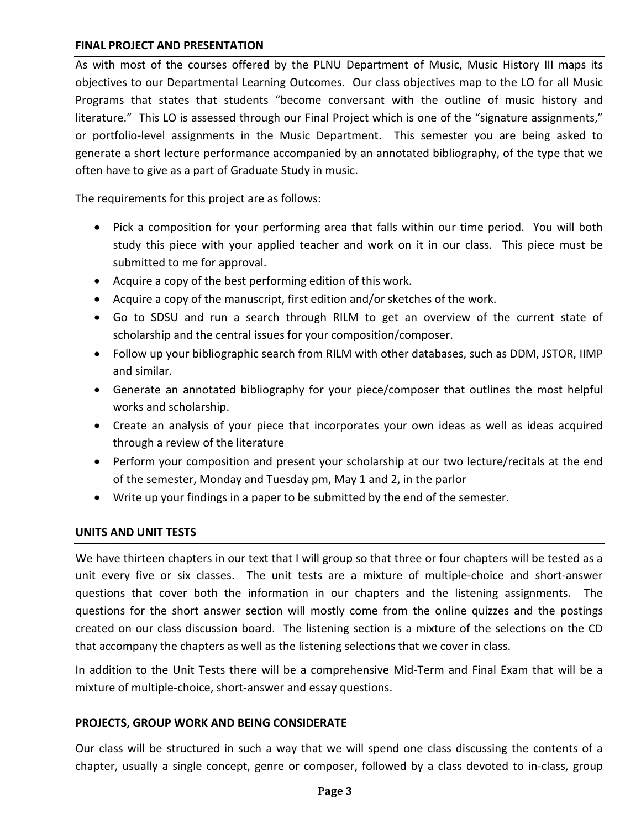#### **FINAL PROJECT AND PRESENTATION**

As with most of the courses offered by the PLNU Department of Music, Music History III maps its objectives to our Departmental Learning Outcomes. Our class objectives map to the LO for all Music Programs that states that students "become conversant with the outline of music history and literature." This LO is assessed through our Final Project which is one of the "signature assignments," or portfolio-level assignments in the Music Department. This semester you are being asked to generate a short lecture performance accompanied by an annotated bibliography, of the type that we often have to give as a part of Graduate Study in music.

The requirements for this project are as follows:

- Pick a composition for your performing area that falls within our time period. You will both study this piece with your applied teacher and work on it in our class. This piece must be submitted to me for approval.
- Acquire a copy of the best performing edition of this work.
- Acquire a copy of the manuscript, first edition and/or sketches of the work.
- Go to SDSU and run a search through RILM to get an overview of the current state of scholarship and the central issues for your composition/composer.
- Follow up your bibliographic search from RILM with other databases, such as DDM, JSTOR, IIMP and similar.
- Generate an annotated bibliography for your piece/composer that outlines the most helpful works and scholarship.
- Create an analysis of your piece that incorporates your own ideas as well as ideas acquired through a review of the literature
- Perform your composition and present your scholarship at our two lecture/recitals at the end of the semester, Monday and Tuesday pm, May 1 and 2, in the parlor
- Write up your findings in a paper to be submitted by the end of the semester.

#### **UNITS AND UNIT TESTS**

We have thirteen chapters in our text that I will group so that three or four chapters will be tested as a unit every five or six classes. The unit tests are a mixture of multiple-choice and short-answer questions that cover both the information in our chapters and the listening assignments. The questions for the short answer section will mostly come from the online quizzes and the postings created on our class discussion board. The listening section is a mixture of the selections on the CD that accompany the chapters as well as the listening selections that we cover in class.

In addition to the Unit Tests there will be a comprehensive Mid-Term and Final Exam that will be a mixture of multiple-choice, short-answer and essay questions.

#### **PROJECTS, GROUP WORK AND BEING CONSIDERATE**

Our class will be structured in such a way that we will spend one class discussing the contents of a chapter, usually a single concept, genre or composer, followed by a class devoted to in-class, group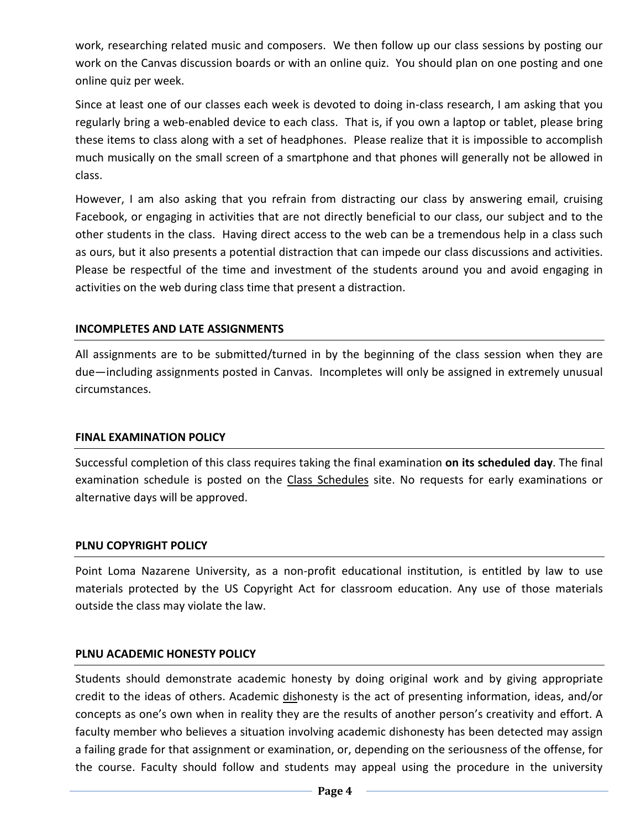work, researching related music and composers. We then follow up our class sessions by posting our work on the Canvas discussion boards or with an online quiz. You should plan on one posting and one online quiz per week.

Since at least one of our classes each week is devoted to doing in-class research, I am asking that you regularly bring a web-enabled device to each class. That is, if you own a laptop or tablet, please bring these items to class along with a set of headphones. Please realize that it is impossible to accomplish much musically on the small screen of a smartphone and that phones will generally not be allowed in class.

However, I am also asking that you refrain from distracting our class by answering email, cruising Facebook, or engaging in activities that are not directly beneficial to our class, our subject and to the other students in the class. Having direct access to the web can be a tremendous help in a class such as ours, but it also presents a potential distraction that can impede our class discussions and activities. Please be respectful of the time and investment of the students around you and avoid engaging in activities on the web during class time that present a distraction.

### **INCOMPLETES AND LATE ASSIGNMENTS**

All assignments are to be submitted/turned in by the beginning of the class session when they are due—including assignments posted in Canvas. Incompletes will only be assigned in extremely unusual circumstances.

#### **FINAL EXAMINATION POLICY**

Successful completion of this class requires taking the final examination **on its scheduled day**. The final examination schedule is posted on the [Class Schedules](http://www.pointloma.edu/experience/academics/class-schedules) site. No requests for early examinations or alternative days will be approved.

#### **PLNU COPYRIGHT POLICY**

Point Loma Nazarene University, as a non-profit educational institution, is entitled by law to use materials protected by the US Copyright Act for classroom education. Any use of those materials outside the class may violate the law.

#### **PLNU ACADEMIC HONESTY POLICY**

Students should demonstrate academic honesty by doing original work and by giving appropriate credit to the ideas of others. Academic dishonesty is the act of presenting information, ideas, and/or concepts as one's own when in reality they are the results of another person's creativity and effort. A faculty member who believes a situation involving academic dishonesty has been detected may assign a failing grade for that assignment or examination, or, depending on the seriousness of the offense, for the course. Faculty should follow and students may appeal using the procedure in the university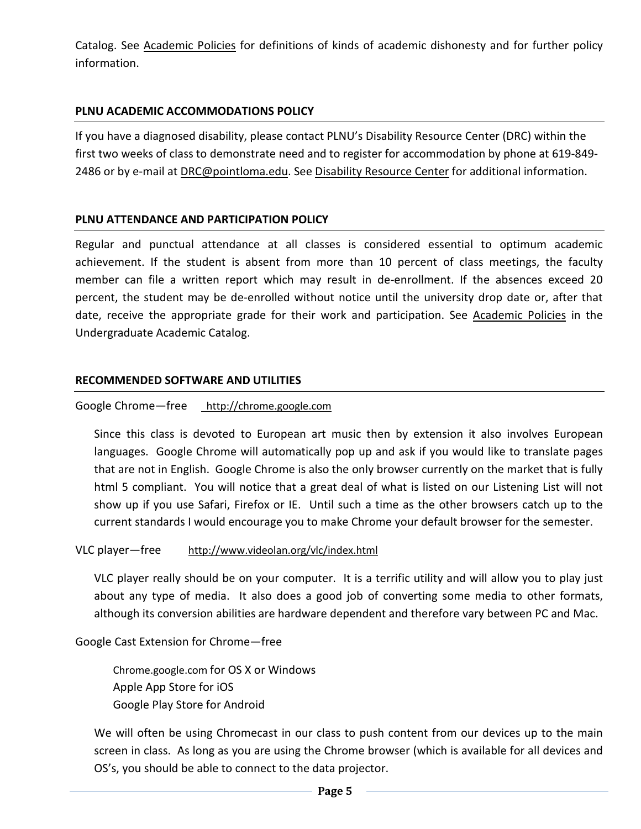Catalog. See [Academic Policies](http://catalog.pointloma.edu/content.php?catoid=18&navoid=1278) for definitions of kinds of academic dishonesty and for further policy information.

### **PLNU ACADEMIC ACCOMMODATIONS POLICY**

If you have a diagnosed disability, please contact PLNU's Disability Resource Center (DRC) within the first two weeks of class to demonstrate need and to register for accommodation by phone at 619-849- 2486 or by e-mail at [DRC@pointloma.edu.](mailto:DRC@pointloma.edu) See [Disability Resource Center](http://www.pointloma.edu/experience/offices/administrative-offices/academic-advising-office/disability-resource-center) for additional information.

#### **PLNU ATTENDANCE AND PARTICIPATION POLICY**

Regular and punctual attendance at all classes is considered essential to optimum academic achievement. If the student is absent from more than 10 percent of class meetings, the faculty member can file a written report which may result in de-enrollment. If the absences exceed 20 percent, the student may be de-enrolled without notice until the university drop date or, after that date, receive the appropriate grade for their work and participation. See [Academic Policies](http://catalog.pointloma.edu/content.php?catoid=18&navoid=1278) in the Undergraduate Academic Catalog.

#### **RECOMMENDED SOFTWARE AND UTILITIES**

#### Google Chrome—free [http://chrome.google.com](http://chrome.google.com/)

Since this class is devoted to European art music then by extension it also involves European languages. Google Chrome will automatically pop up and ask if you would like to translate pages that are not in English. Google Chrome is also the only browser currently on the market that is fully html 5 compliant. You will notice that a great deal of what is listed on our Listening List will not show up if you use Safari, Firefox or IE. Until such a time as the other browsers catch up to the current standards I would encourage you to make Chrome your default browser for the semester.

#### VLC player—free <http://www.videolan.org/vlc/index.html>

VLC player really should be on your computer. It is a terrific utility and will allow you to play just about any type of media. It also does a good job of converting some media to other formats, although its conversion abilities are hardware dependent and therefore vary between PC and Mac.

### Google Cast Extension for Chrome—free

Chrome.google.com for OS X or Windows Apple App Store for iOS Google Play Store for Android

We will often be using Chromecast in our class to push content from our devices up to the main screen in class. As long as you are using the Chrome browser (which is available for all devices and OS's, you should be able to connect to the data projector.